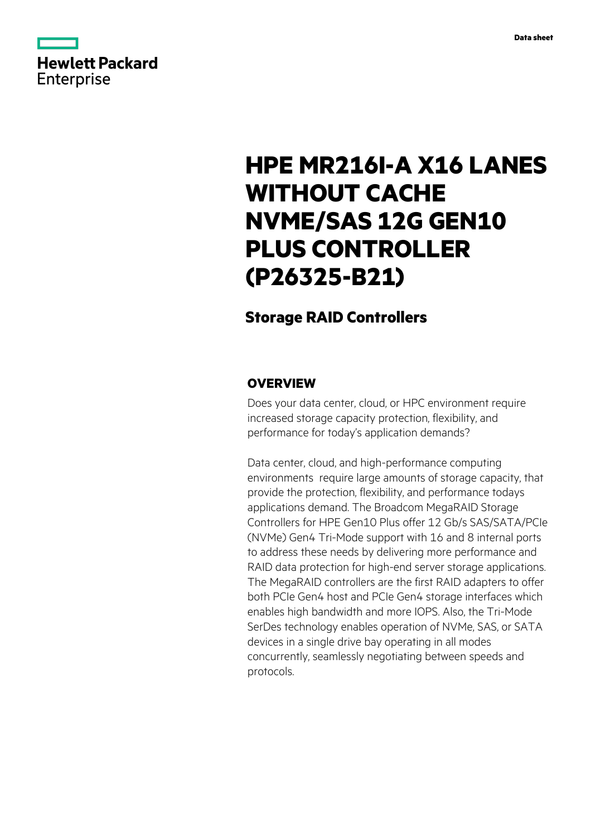

# **HPE MR216I-A X16 LANES WITHOUT CACHE NVME/SAS 12G GEN10 PLUS CONTROLLER (P26325-B21)**

# **Storage RAID Controllers**

# **OVERVIEW**

Does your data center, cloud, or HPC environment require increased storage capacity protection, flexibility, and performance for today's application demands?

Data center, cloud, and high-performance computing environments require large amounts of storage capacity, that provide the protection, flexibility, and performance todays applications demand. The Broadcom MegaRAID Storage Controllers for HPE Gen10 Plus offer 12 Gb/s SAS/SATA/PCIe (NVMe) Gen4 Tri-Mode support with 16 and 8 internal ports to address these needs by delivering more performance and RAID data protection for high-end server storage applications. The MegaRAID controllers are the first RAID adapters to offer both PCIe Gen4 host and PCIe Gen4 storage interfaces which enables high bandwidth and more IOPS. Also, the Tri-Mode SerDes technology enables operation of NVMe, SAS, or SATA devices in a single drive bay operating in all modes concurrently, seamlessly negotiating between speeds and protocols.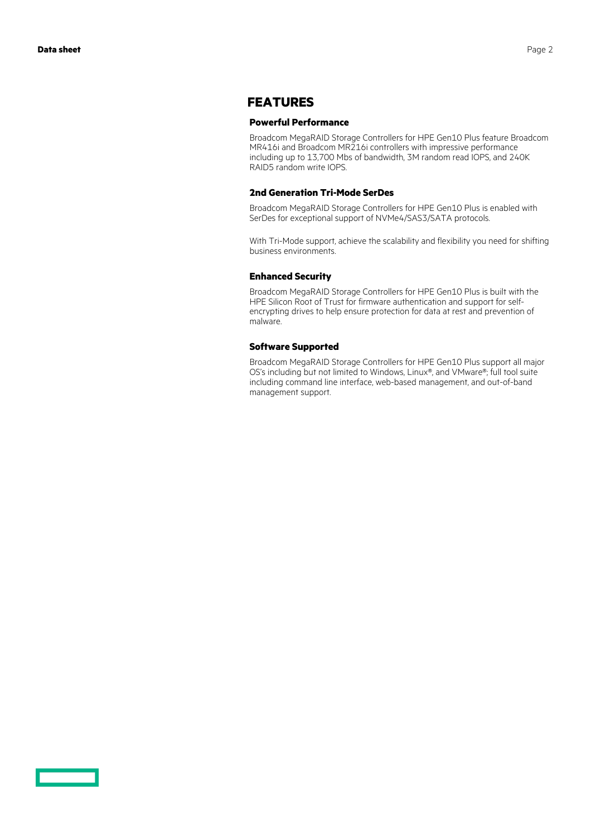## **FEATURES**

#### **Powerful Performance**

Broadcom MegaRAID Storage Controllers for HPE Gen10 Plus feature Broadcom MR416i and Broadcom MR216i controllers with impressive performance including up to 13,700 Mbs of bandwidth, 3M random read IOPS, and 240K RAID5 random write IOPS.

#### **2nd Generation Tri-Mode SerDes**

Broadcom MegaRAID Storage Controllers for HPE Gen10 Plus is enabled with SerDes for exceptional support of NVMe4/SAS3/SATA protocols.

With Tri-Mode support, achieve the scalability and flexibility you need for shifting business environments.

### **Enhanced Security**

Broadcom MegaRAID Storage Controllers for HPE Gen10 Plus is built with the HPE Silicon Root of Trust for firmware authentication and support for selfencrypting drives to help ensure protection for data at rest and prevention of malware.

#### **Software Supported**

Broadcom MegaRAID Storage Controllers for HPE Gen10 Plus support all major OS's including but not limited to Windows, Linux®, and VMware®; full tool suite including command line interface, web-based management, and out-of-band management support.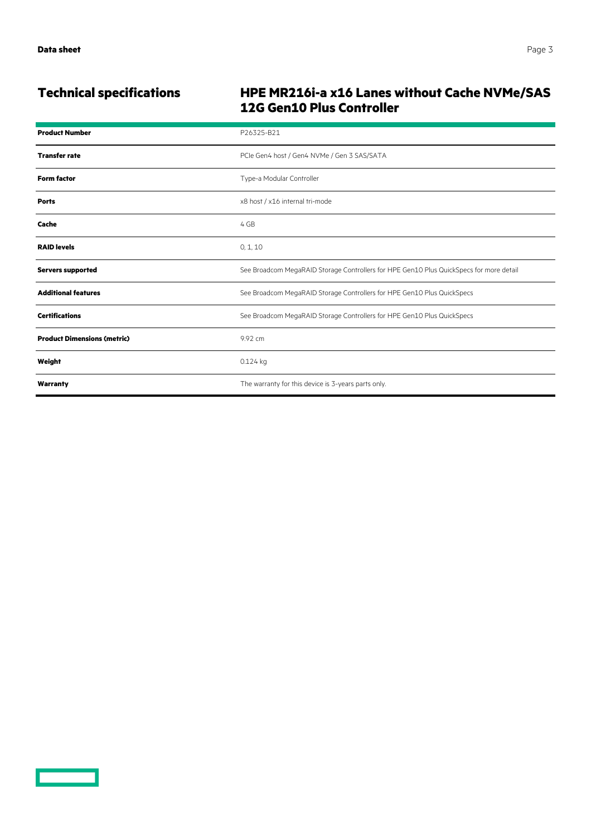<u>a sa sa</u>

# **Technical specifications HPE MR216i-a x16 Lanes without Cache NVMe/SAS 12G Gen10 Plus Controller**

| <b>Product Number</b>              | P26325-B21                                                                              |
|------------------------------------|-----------------------------------------------------------------------------------------|
| <b>Transfer rate</b>               | PCIe Gen4 host / Gen4 NVMe / Gen 3 SAS/SATA                                             |
| <b>Form factor</b>                 | Type-a Modular Controller                                                               |
| <b>Ports</b>                       | x8 host / x16 internal tri-mode                                                         |
| Cache                              | 4 GB                                                                                    |
| <b>RAID levels</b>                 | 0, 1, 10                                                                                |
| <b>Servers supported</b>           | See Broadcom MegaRAID Storage Controllers for HPE Gen10 Plus QuickSpecs for more detail |
| <b>Additional features</b>         | See Broadcom MegaRAID Storage Controllers for HPE Gen10 Plus QuickSpecs                 |
| <b>Certifications</b>              | See Broadcom MegaRAID Storage Controllers for HPE Gen10 Plus QuickSpecs                 |
| <b>Product Dimensions (metric)</b> | 9.92 cm                                                                                 |
| Weight                             | 0.124 kg                                                                                |
| Warranty                           | The warranty for this device is 3-years parts only.                                     |